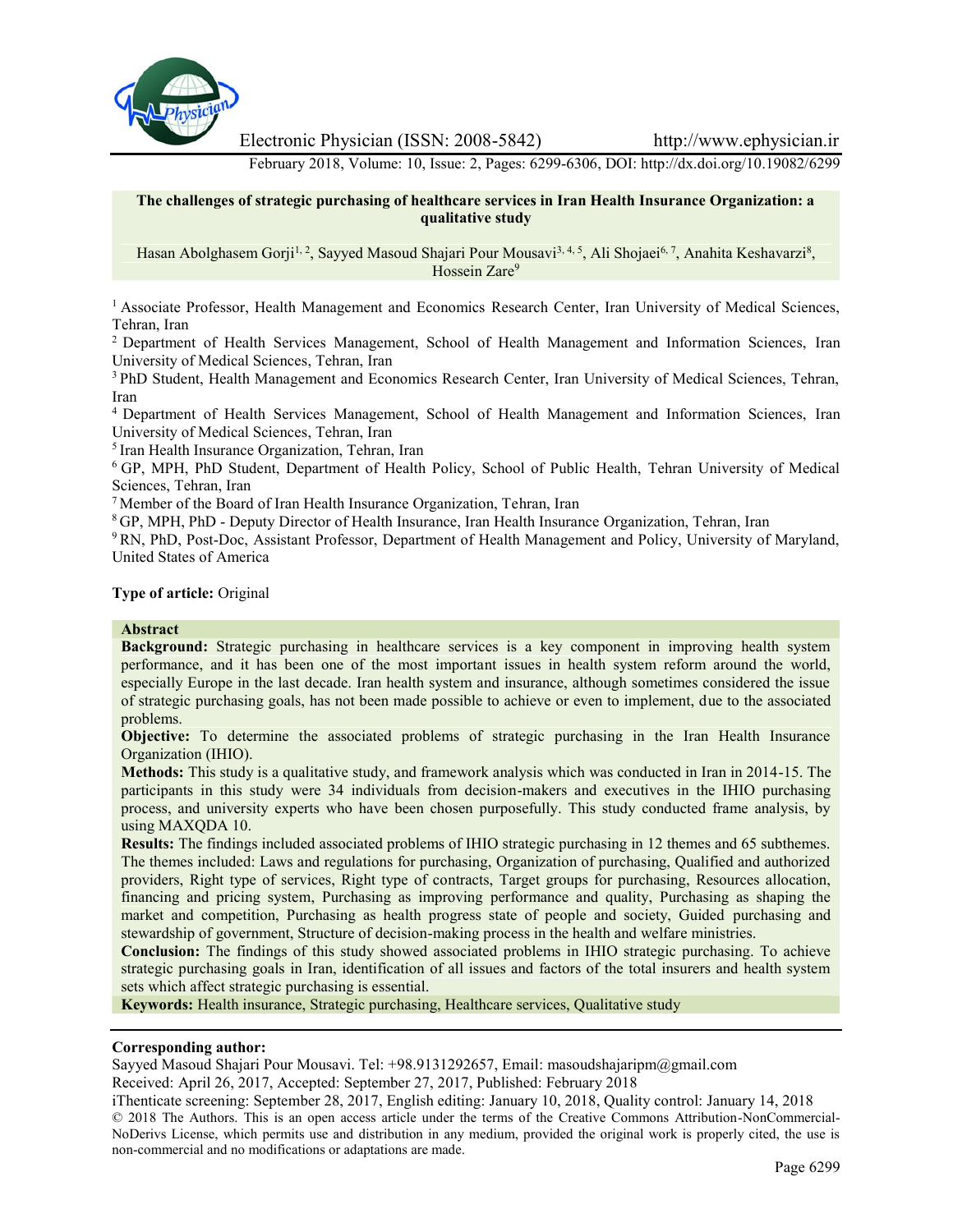

Electronic Physician (ISSN: 2008-5842) http://www.ephysician.ir

February 2018, Volume: 10, Issue: 2, Pages: 6299-6306, DOI: http://dx.doi.org/10.19082/6299

#### **The challenges of strategic purchasing of healthcare services in Iran Health Insurance Organization: a qualitative study**

Hasan Abolghasem Gorji<sup>1, 2</sup>, Sayyed Masoud Shajari Pour Mousavi<sup>3, 4, 5</sup>, Ali Shojaei<sup>6, 7</sup>, Anahita Keshavarzi<sup>8</sup>, Hossein Zare<sup>9</sup>

<sup>1</sup> Associate Professor, Health Management and Economics Research Center, Iran University of Medical Sciences, Tehran, Iran

<sup>2</sup> Department of Health Services Management, School of Health Management and Information Sciences, Iran University of Medical Sciences, Tehran, Iran

<sup>3</sup> PhD Student, Health Management and Economics Research Center, Iran University of Medical Sciences, Tehran, Iran

<sup>4</sup> Department of Health Services Management, School of Health Management and Information Sciences, Iran University of Medical Sciences, Tehran, Iran

<sup>5</sup> Iran Health Insurance Organization, Tehran, Iran

<sup>6</sup> GP, MPH, PhD Student, Department of Health Policy, School of Public Health, Tehran University of Medical Sciences, Tehran, Iran

<sup>7</sup> Member of the Board of Iran Health Insurance Organization, Tehran, Iran

<sup>8</sup> GP, MPH, PhD - Deputy Director of Health Insurance, Iran Health Insurance Organization, Tehran, Iran

<sup>9</sup> RN, PhD, Post-Doc, Assistant Professor, Department of Health Management and Policy, University of Maryland, United States of America

**Type of article:** Original

#### **Abstract**

**Background:** Strategic purchasing in healthcare services is a key component in improving health system performance, and it has been one of the most important issues in health system reform around the world, especially Europe in the last decade. Iran health system and insurance, although sometimes considered the issue of strategic purchasing goals, has not been made possible to achieve or even to implement, due to the associated problems.

**Objective:** To determine the associated problems of strategic purchasing in the Iran Health Insurance Organization (IHIO).

**Methods:** This study is a qualitative study, and framework analysis which was conducted in Iran in 2014-15. The participants in this study were 34 individuals from decision-makers and executives in the IHIO purchasing process, and university experts who have been chosen purposefully. This study conducted frame analysis, by using MAXQDA 10.

**Results:** The findings included associated problems of IHIO strategic purchasing in 12 themes and 65 subthemes. The themes included: Laws and regulations for purchasing, Organization of purchasing, Qualified and authorized providers, Right type of services, Right type of contracts, Target groups for purchasing, Resources allocation, financing and pricing system, Purchasing as improving performance and quality, Purchasing as shaping the market and competition, Purchasing as health progress state of people and society, Guided purchasing and stewardship of government, Structure of decision-making process in the health and welfare ministries.

**Conclusion:** The findings of this study showed associated problems in IHIO strategic purchasing. To achieve strategic purchasing goals in Iran, identification of all issues and factors of the total insurers and health system sets which affect strategic purchasing is essential.

**Keywords:** Health insurance, Strategic purchasing, Healthcare services, Qualitative study

#### **Corresponding author:**

Sayyed Masoud Shajari Pour Mousavi. Tel: +98.9131292657, Email: masoudshajaripm@gmail.com Received: April 26, 2017, Accepted: September 27, 2017, Published: February 2018

iThenticate screening: September 28, 2017, English editing: January 10, 2018, Quality control: January 14, 2018 © 2018 The Authors. This is an open access article under the terms of the Creative Commons Attribution-NonCommercial- NoDerivs License, which permits use and distribution in any medium, provided the original work is properly cited, the use is non-commercial and no modifications or adaptations are made.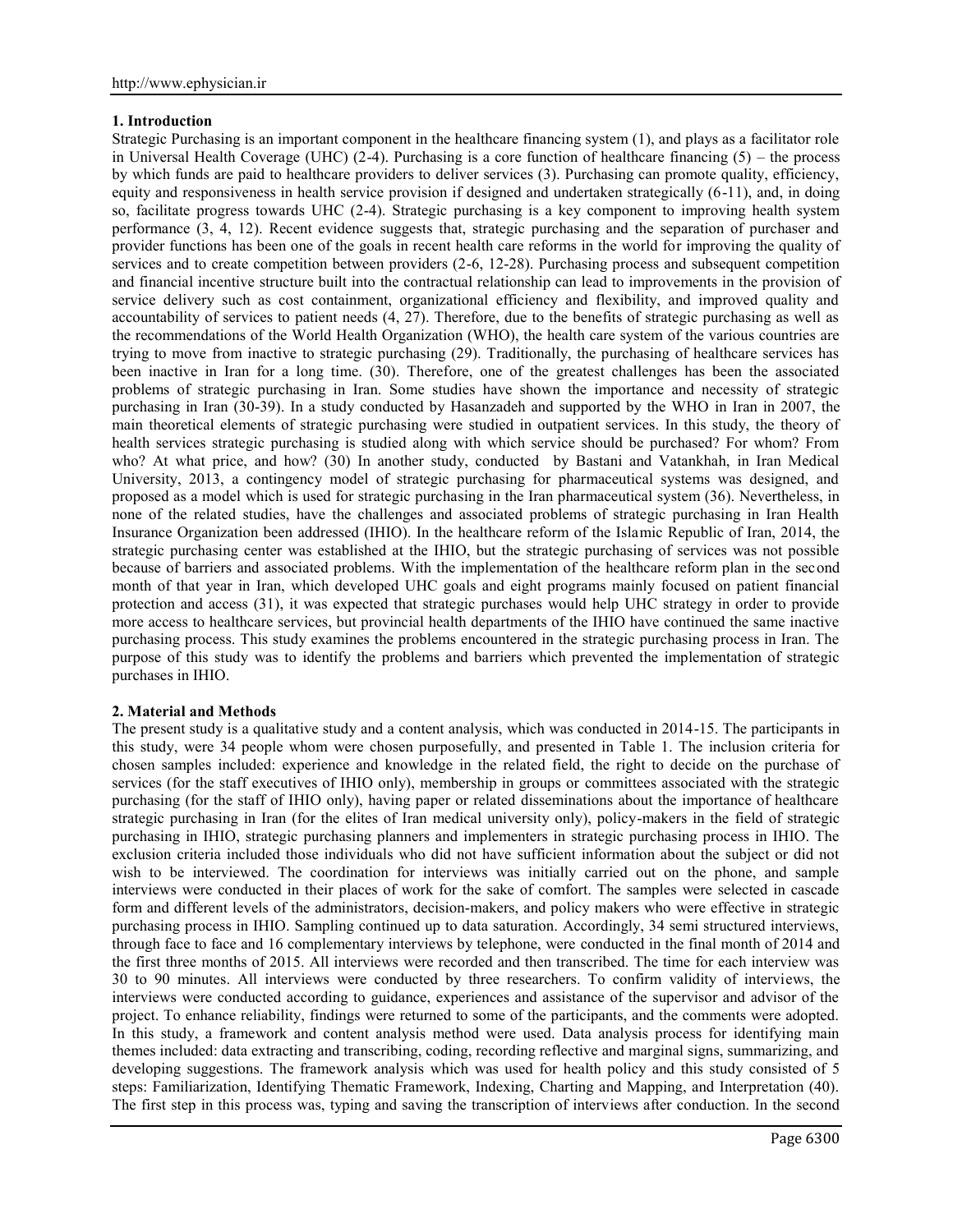## **1. Introduction**

Strategic Purchasing is an important component in the healthcare financing system (1), and plays as a facilitator role in Universal Health Coverage (UHC) (2-4). Purchasing is a core function of healthcare financing (5) – the process by which funds are paid to healthcare providers to deliver services (3). Purchasing can promote quality, efficiency, equity and responsiveness in health service provision if designed and undertaken strategically (6-11), and, in doing so, facilitate progress towards UHC (2-4). Strategic purchasing is a key component to improving health system performance (3, 4, 12). Recent evidence suggests that, strategic purchasing and the separation of purchaser and provider functions has been one of the goals in recent health care reforms in the world for improving the quality of services and to create competition between providers (2-6, 12-28). Purchasing process and subsequent competition and financial incentive structure built into the contractual relationship can lead to improvements in the provision of service delivery such as cost containment, organizational efficiency and flexibility, and improved quality and accountability of services to patient needs  $(4, 27)$ . Therefore, due to the benefits of strategic purchasing as well as the recommendations of the World Health Organization (WHO), the health care system of the various countries are trying to move from inactive to strategic purchasing (29). Traditionally, the purchasing of healthcare services has been inactive in Iran for a long time. (30). Therefore, one of the greatest challenges has been the associated problems of strategic purchasing in Iran. Some studies have shown the importance and necessity of strategic purchasing in Iran (30-39). In a study conducted by Hasanzadeh and supported by the WHO in Iran in 2007, the main theoretical elements of strategic purchasing were studied in outpatient services. In this study, the theory of health services strategic purchasing is studied along with which service should be purchased? For whom? From who? At what price, and how? (30) In another study, conducted by Bastani and Vatankhah, in Iran Medical University, 2013, a contingency model of strategic purchasing for pharmaceutical systems was designed, and proposed as a model which is used for strategic purchasing in the Iran pharmaceutical system (36). Nevertheless, in none of the related studies, have the challenges and associated problems of strategic purchasing in Iran Health Insurance Organization been addressed (IHIO). In the healthcare reform of the Islamic Republic of Iran, 2014, the strategic purchasing center was established at the IHIO, but the strategic purchasing of services was not possible because of barriers and associated problems. With the implementation of the healthcare reform plan in the second month of that year in Iran, which developed UHC goals and eight programs mainly focused on patient financial protection and access (31), it was expected that strategic purchases would help UHC strategy in order to provide more access to healthcare services, but provincial health departments of the IHIO have continued the same inactive purchasing process. This study examines the problems encountered in the strategic purchasing process in Iran. The purpose of this study was to identify the problems and barriers which prevented the implementation of strategic purchases in IHIO.

## **2. Material and Methods**

The present study is a qualitative study and a content analysis, which was conducted in 2014-15. The participants in this study, were 34 people whom were chosen purposefully, and presented in Table 1. The inclusion criteria for chosen samples included: experience and knowledge in the related field, the right to decide on the purchase of services (for the staff executives of IHIO only), membership in groups or committees associated with the strategic purchasing (for the staff of IHIO only), having paper or related disseminations about the importance of healthcare strategic purchasing in Iran (for the elites of Iran medical university only), policy-makers in the field of strategic purchasing in IHIO, strategic purchasing planners and implementers in strategic purchasing process in IHIO. The exclusion criteria included those individuals who did not have sufficient information about the subject or did not wish to be interviewed. The coordination for interviews was initially carried out on the phone, and sample interviews were conducted in their places of work for the sake of comfort. The samples were selected in cascade form and different levels of the administrators, decision-makers, and policy makers who were effective in strategic purchasing process in IHIO. Sampling continued up to data saturation. Accordingly, 34 semi structured interviews, through face to face and 16 complementary interviews by telephone, were conducted in the final month of 2014 and the first three months of 2015. All interviews were recorded and then transcribed. The time for each interview was 30 to 90 minutes. All interviews were conducted by three researchers. To confirm validity of interviews, the interviews were conducted according to guidance, experiences and assistance of the supervisor and advisor of the project. To enhance reliability, findings were returned to some of the participants, and the comments were adopted. In this study, a framework and content analysis method were used. Data analysis process for identifying main themes included: data extracting and transcribing, coding, recording reflective and marginal signs, summarizing, and developing suggestions. The framework analysis which was used for health policy and this study consisted of 5 steps: Familiarization, Identifying Thematic Framework, Indexing, Charting and Mapping, and Interpretation (40). The first step in this process was, typing and saving the transcription of interviews after conduction. In the second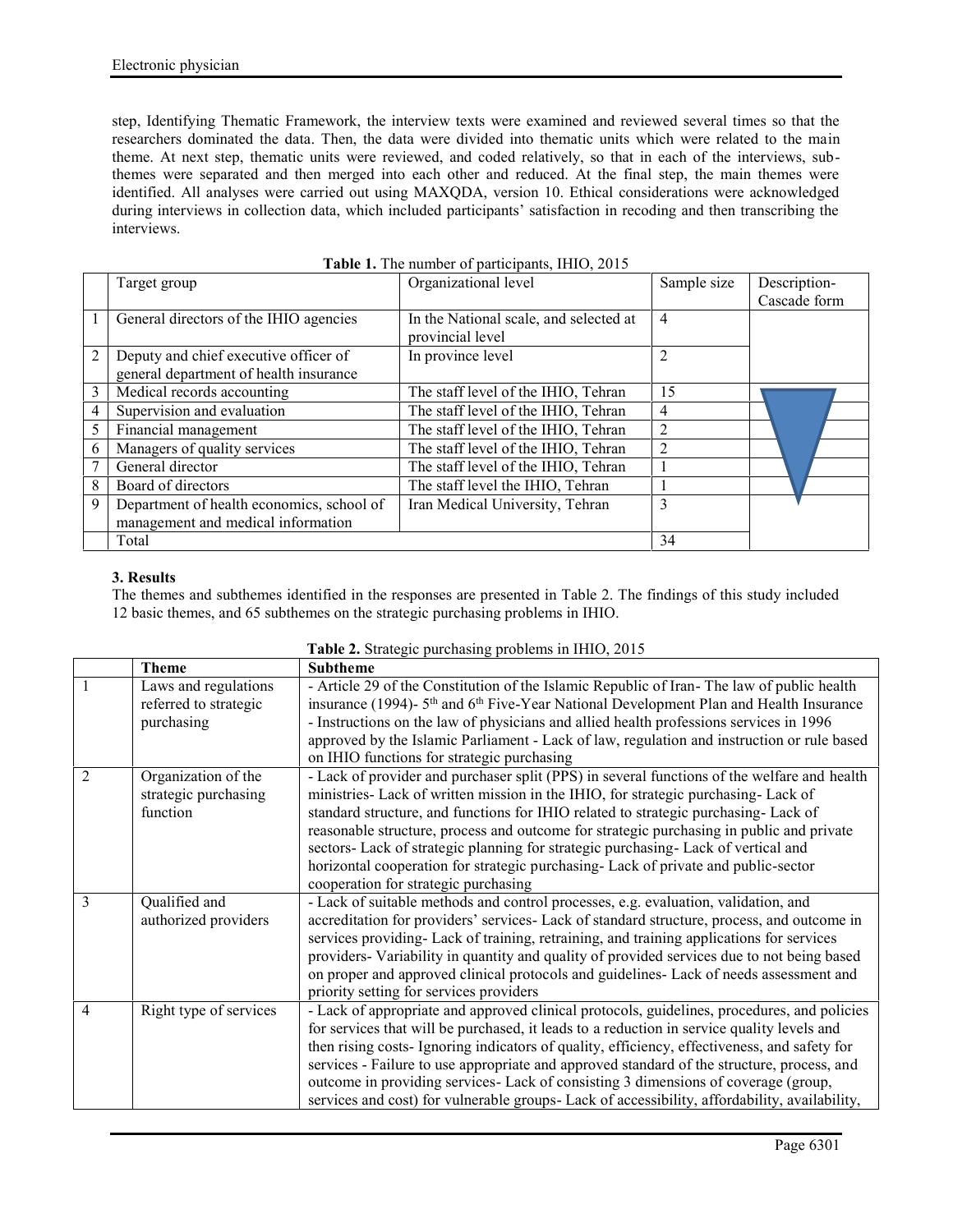step, Identifying Thematic Framework, the interview texts were examined and reviewed several times so that the researchers dominated the data. Then, the data were divided into thematic units which were related to the main theme. At next step, thematic units were reviewed, and coded relatively, so that in each of the interviews, subthemes were separated and then merged into each other and reduced. At the final step, the main themes were identified. All analyses were carried out using MAXQDA, version 10. Ethical considerations were acknowledged during interviews in collection data, which included participants' satisfaction in recoding and then transcribing the interviews.

|   | Target group                              | Organizational level                   | Sample size    | Description- |
|---|-------------------------------------------|----------------------------------------|----------------|--------------|
|   |                                           |                                        |                | Cascade form |
|   | General directors of the IHIO agencies    | In the National scale, and selected at | 4              |              |
|   |                                           | provincial level                       |                |              |
| 2 | Deputy and chief executive officer of     | In province level                      | $\mathfrak{D}$ |              |
|   | general department of health insurance    |                                        |                |              |
| 3 | Medical records accounting                | The staff level of the IHIO, Tehran    | 15             |              |
|   | Supervision and evaluation                | The staff level of the IHIO, Tehran    | 4              |              |
| 5 | Financial management                      | The staff level of the IHIO, Tehran    | $\overline{2}$ |              |
| 6 | Managers of quality services              | The staff level of the IHIO, Tehran    | 2              |              |
|   | General director                          | The staff level of the IHIO, Tehran    |                |              |
| 8 | Board of directors                        | The staff level the IHIO, Tehran       |                |              |
| 9 | Department of health economics, school of | Iran Medical University, Tehran        | 3              |              |
|   | management and medical information        |                                        |                |              |
|   | Total                                     |                                        | 34             |              |

# **3. Results**

The themes and subthemes identified in the responses are presented in Table 2. The findings of this study included 12 basic themes, and 65 subthemes on the strategic purchasing problems in IHIO.

|                | <b>Theme</b>                                            | <b>Subtheme</b>                                                                                                                                                                                                                                                                                                                                                                                                                                                                                                                                                                                                                       |  |
|----------------|---------------------------------------------------------|---------------------------------------------------------------------------------------------------------------------------------------------------------------------------------------------------------------------------------------------------------------------------------------------------------------------------------------------------------------------------------------------------------------------------------------------------------------------------------------------------------------------------------------------------------------------------------------------------------------------------------------|--|
|                | Laws and regulations                                    | - Article 29 of the Constitution of the Islamic Republic of Iran-The law of public health                                                                                                                                                                                                                                                                                                                                                                                                                                                                                                                                             |  |
|                | referred to strategic<br>purchasing                     | insurance (1994)- 5 <sup>th</sup> and 6 <sup>th</sup> Five-Year National Development Plan and Health Insurance<br>- Instructions on the law of physicians and allied health professions services in 1996<br>approved by the Islamic Parliament - Lack of law, regulation and instruction or rule based                                                                                                                                                                                                                                                                                                                                |  |
| $\mathfrak{D}$ | Organization of the<br>strategic purchasing<br>function | on IHIO functions for strategic purchasing<br>- Lack of provider and purchaser split (PPS) in several functions of the welfare and health<br>ministries- Lack of written mission in the IHIO, for strategic purchasing- Lack of<br>standard structure, and functions for IHIO related to strategic purchasing-Lack of<br>reasonable structure, process and outcome for strategic purchasing in public and private<br>sectors- Lack of strategic planning for strategic purchasing- Lack of vertical and<br>horizontal cooperation for strategic purchasing- Lack of private and public-sector<br>cooperation for strategic purchasing |  |
| 3              | Qualified and<br>authorized providers                   | - Lack of suitable methods and control processes, e.g. evaluation, validation, and<br>accreditation for providers' services- Lack of standard structure, process, and outcome in<br>services providing-Lack of training, retraining, and training applications for services<br>providers-Variability in quantity and quality of provided services due to not being based<br>on proper and approved clinical protocols and guidelines- Lack of needs assessment and<br>priority setting for services providers                                                                                                                         |  |
| $\overline{4}$ | Right type of services                                  | - Lack of appropriate and approved clinical protocols, guidelines, procedures, and policies<br>for services that will be purchased, it leads to a reduction in service quality levels and<br>then rising costs-Ignoring indicators of quality, efficiency, effectiveness, and safety for<br>services - Failure to use appropriate and approved standard of the structure, process, and<br>outcome in providing services- Lack of consisting 3 dimensions of coverage (group,<br>services and cost) for vulnerable groups- Lack of accessibility, affordability, availability,                                                         |  |

**Table 2.** Strategic purchasing problems in IHIO, 2015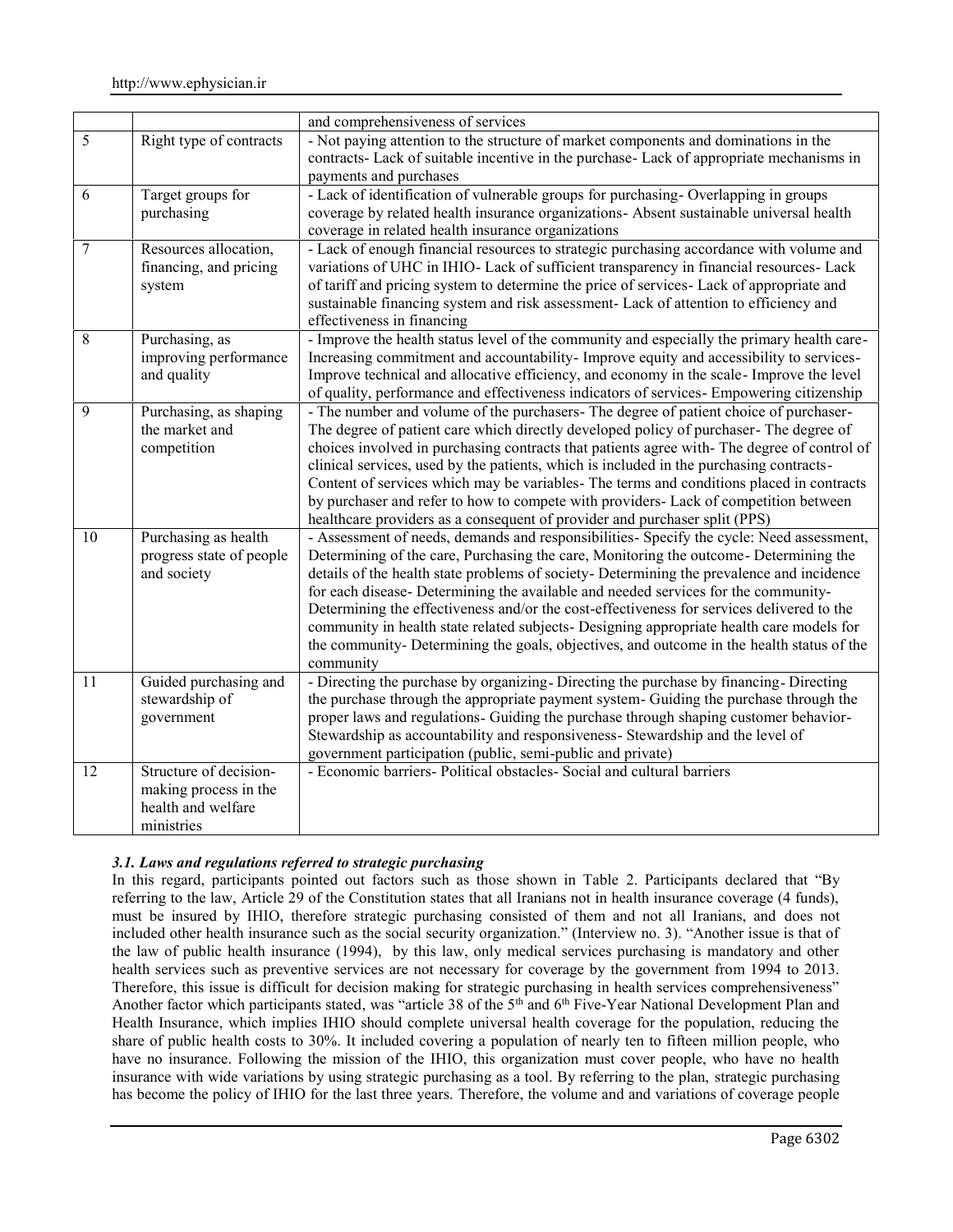|    |                                                                                     | and comprehensiveness of services                                                                                                                                                                                                                                                                                                                                                                                                                                                                                                                                                                                                                                      |  |
|----|-------------------------------------------------------------------------------------|------------------------------------------------------------------------------------------------------------------------------------------------------------------------------------------------------------------------------------------------------------------------------------------------------------------------------------------------------------------------------------------------------------------------------------------------------------------------------------------------------------------------------------------------------------------------------------------------------------------------------------------------------------------------|--|
| 5  | Right type of contracts                                                             | - Not paying attention to the structure of market components and dominations in the<br>contracts- Lack of suitable incentive in the purchase- Lack of appropriate mechanisms in<br>payments and purchases                                                                                                                                                                                                                                                                                                                                                                                                                                                              |  |
| 6  | Target groups for<br>purchasing                                                     | - Lack of identification of vulnerable groups for purchasing-Overlapping in groups<br>coverage by related health insurance organizations- Absent sustainable universal health<br>coverage in related health insurance organizations                                                                                                                                                                                                                                                                                                                                                                                                                                    |  |
| 7  | Resources allocation,<br>financing, and pricing<br>system                           | - Lack of enough financial resources to strategic purchasing accordance with volume and<br>variations of UHC in IHIO- Lack of sufficient transparency in financial resources- Lack<br>of tariff and pricing system to determine the price of services- Lack of appropriate and<br>sustainable financing system and risk assessment- Lack of attention to efficiency and<br>effectiveness in financing                                                                                                                                                                                                                                                                  |  |
| 8  | Purchasing, as<br>improving performance<br>and quality                              | - Improve the health status level of the community and especially the primary health care-<br>Increasing commitment and accountability- Improve equity and accessibility to services-<br>Improve technical and allocative efficiency, and economy in the scale- Improve the level<br>of quality, performance and effectiveness indicators of services- Empowering citizenship                                                                                                                                                                                                                                                                                          |  |
| 9  | Purchasing, as shaping<br>the market and<br>competition                             | - The number and volume of the purchasers- The degree of patient choice of purchaser-<br>The degree of patient care which directly developed policy of purchaser- The degree of<br>choices involved in purchasing contracts that patients agree with-The degree of control of<br>clinical services, used by the patients, which is included in the purchasing contracts-<br>Content of services which may be variables- The terms and conditions placed in contracts<br>by purchaser and refer to how to compete with providers- Lack of competition between<br>healthcare providers as a consequent of provider and purchaser split (PPS)                             |  |
| 10 | Purchasing as health<br>progress state of people<br>and society                     | - Assessment of needs, demands and responsibilities- Specify the cycle: Need assessment,<br>Determining of the care, Purchasing the care, Monitoring the outcome- Determining the<br>details of the health state problems of society- Determining the prevalence and incidence<br>for each disease- Determining the available and needed services for the community-<br>Determining the effectiveness and/or the cost-effectiveness for services delivered to the<br>community in health state related subjects- Designing appropriate health care models for<br>the community-Determining the goals, objectives, and outcome in the health status of the<br>community |  |
| 11 | Guided purchasing and<br>stewardship of<br>government                               | - Directing the purchase by organizing - Directing the purchase by financing - Directing<br>the purchase through the appropriate payment system- Guiding the purchase through the<br>proper laws and regulations- Guiding the purchase through shaping customer behavior-<br>Stewardship as accountability and responsiveness- Stewardship and the level of<br>government participation (public, semi-public and private)                                                                                                                                                                                                                                              |  |
| 12 | Structure of decision-<br>making process in the<br>health and welfare<br>ministries | - Economic barriers- Political obstacles- Social and cultural barriers                                                                                                                                                                                                                                                                                                                                                                                                                                                                                                                                                                                                 |  |

# *3.1. Laws and regulations referred to strategic purchasing*

In this regard, participants pointed out factors such as those shown in Table 2. Participants declared that "By referring to the law, Article 29 of the Constitution states that all Iranians not in health insurance coverage (4 funds), must be insured by IHIO, therefore strategic purchasing consisted of them and not all Iranians, and does not included other health insurance such as the social security organization." (Interview no. 3). "Another issue is that of the law of public health insurance (1994), by this law, only medical services purchasing is mandatory and other health services such as preventive services are not necessary for coverage by the government from 1994 to 2013. Therefore, this issue is difficult for decision making for strategic purchasing in health services comprehensiveness" Another factor which participants stated, was "article 38 of the 5<sup>th</sup> and 6<sup>th</sup> Five-Year National Development Plan and Health Insurance, which implies IHIO should complete universal health coverage for the population, reducing the share of public health costs to 30%. It included covering a population of nearly ten to fifteen million people, who have no insurance. Following the mission of the IHIO, this organization must cover people, who have no health insurance with wide variations by using strategic purchasing as a tool. By referring to the plan, strategic purchasing has become the policy of IHIO for the last three years. Therefore, the volume and and variations of coverage people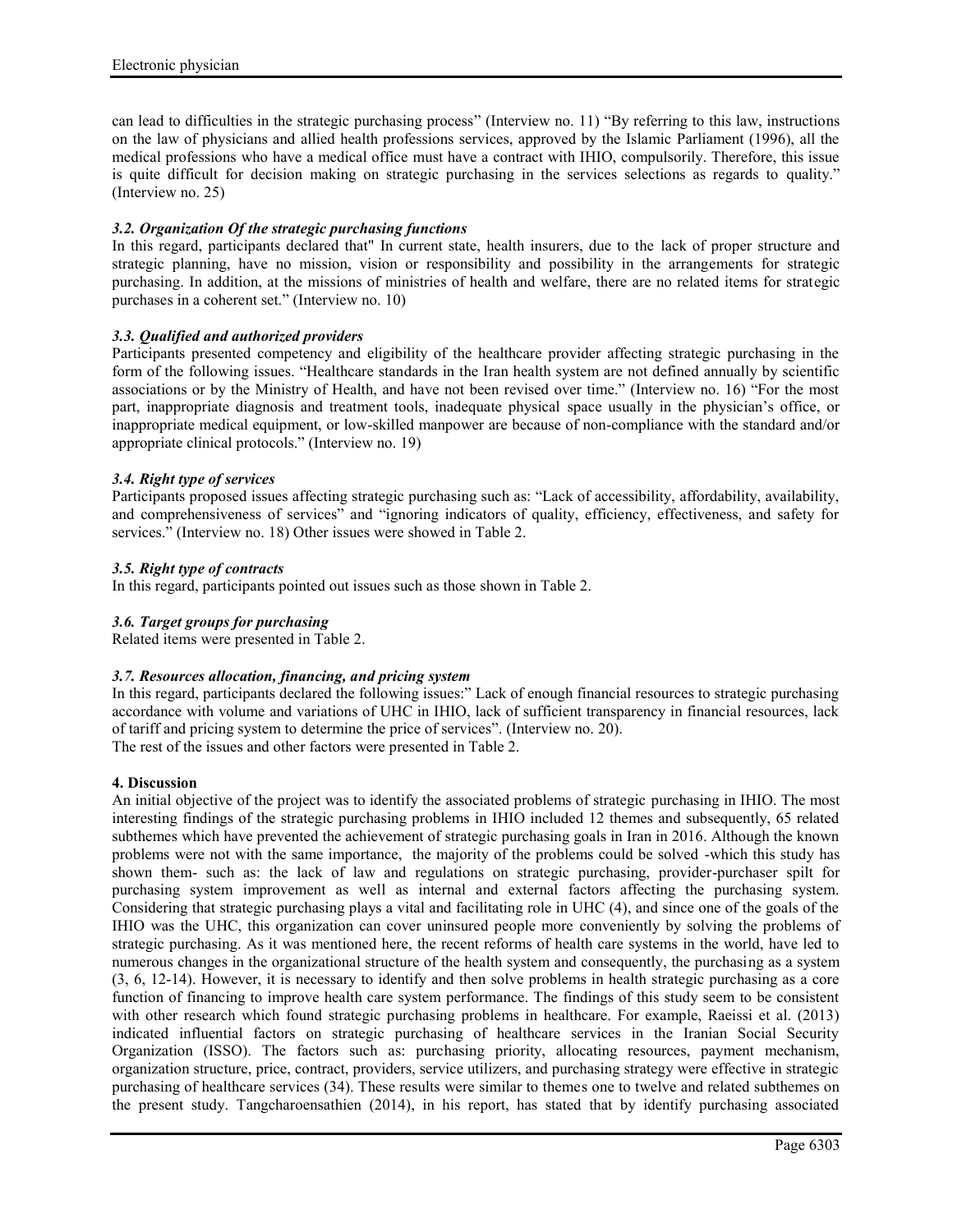can lead to difficulties in the strategic purchasing process" (Interview no. 11) "By referring to this law, instructions on the law of physicians and allied health professions services, approved by the Islamic Parliament (1996), all the medical professions who have a medical office must have a contract with IHIO, compulsorily. Therefore, this issue is quite difficult for decision making on strategic purchasing in the services selections as regards to quality." (Interview no. 25)

## *3.2. Organization Of the strategic purchasing functions*

In this regard, participants declared that" In current state, health insurers, due to the lack of proper structure and strategic planning, have no mission, vision or responsibility and possibility in the arrangements for strategic purchasing. In addition, at the missions of ministries of health and welfare, there are no related items for strategic purchases in a coherent set." (Interview no. 10)

## *3.3. Qualified and authorized providers*

Participants presented competency and eligibility of the healthcare provider affecting strategic purchasing in the form of the following issues. "Healthcare standards in the Iran health system are not defined annually by scientific associations or by the Ministry of Health, and have not been revised over time." (Interview no. 16) "For the most part, inappropriate diagnosis and treatment tools, inadequate physical space usually in the physician's office, or inappropriate medical equipment, or low-skilled manpower are because of non-compliance with the standard and/or appropriate clinical protocols." (Interview no. 19)

## *3.4. Right type of services*

Participants proposed issues affecting strategic purchasing such as: "Lack of accessibility, affordability, availability, and comprehensiveness of services" and "ignoring indicators of quality, efficiency, effectiveness, and safety for services." (Interview no. 18) Other issues were showed in Table 2.

## *3.5. Right type of contracts*

In this regard, participants pointed out issues such as those shown in Table 2.

## *3.6. Target groups for purchasing*

Related items were presented in Table 2.

## *3.7. Resources allocation, financing, and pricing system*

In this regard, participants declared the following issues:" Lack of enough financial resources to strategic purchasing accordance with volume and variations of UHC in IHIO, lack of sufficient transparency in financial resources, lack of tariff and pricing system to determine the price of services". (Interview no. 20).

The rest of the issues and other factors were presented in Table 2.

## **4. Discussion**

An initial objective of the project was to identify the associated problems of strategic purchasing in IHIO. The most interesting findings of the strategic purchasing problems in IHIO included 12 themes and subsequently, 65 related subthemes which have prevented the achievement of strategic purchasing goals in Iran in 2016. Although the known problems were not with the same importance, the majority of the problems could be solved -which this study has shown them- such as: the lack of law and regulations on strategic purchasing, provider-purchaser spilt for purchasing system improvement as well as internal and external factors affecting the purchasing system. Considering that strategic purchasing plays a vital and facilitating role in UHC (4), and since one of the goals of the IHIO was the UHC, this organization can cover uninsured people more conveniently by solving the problems of strategic purchasing. As it was mentioned here, the recent reforms of health care systems in the world, have led to numerous changes in the organizational structure of the health system and consequently, the purchasing as a system (3, 6, 12-14). However, it is necessary to identify and then solve problems in health strategic purchasing as a core function of financing to improve health care system performance. The findings of this study seem to be consistent with other research which found strategic purchasing problems in healthcare. For example, Raeissi et al. (2013) indicated influential factors on strategic purchasing of healthcare services in the Iranian Social Security Organization (ISSO). The factors such as: purchasing priority, allocating resources, payment mechanism, organization structure, price, contract, providers, service utilizers, and purchasing strategy were effective in strategic purchasing of healthcare services (34). These results were similar to themes one to twelve and related subthemes on the present study. Tangcharoensathien (2014), in his report, has stated that by identify purchasing associated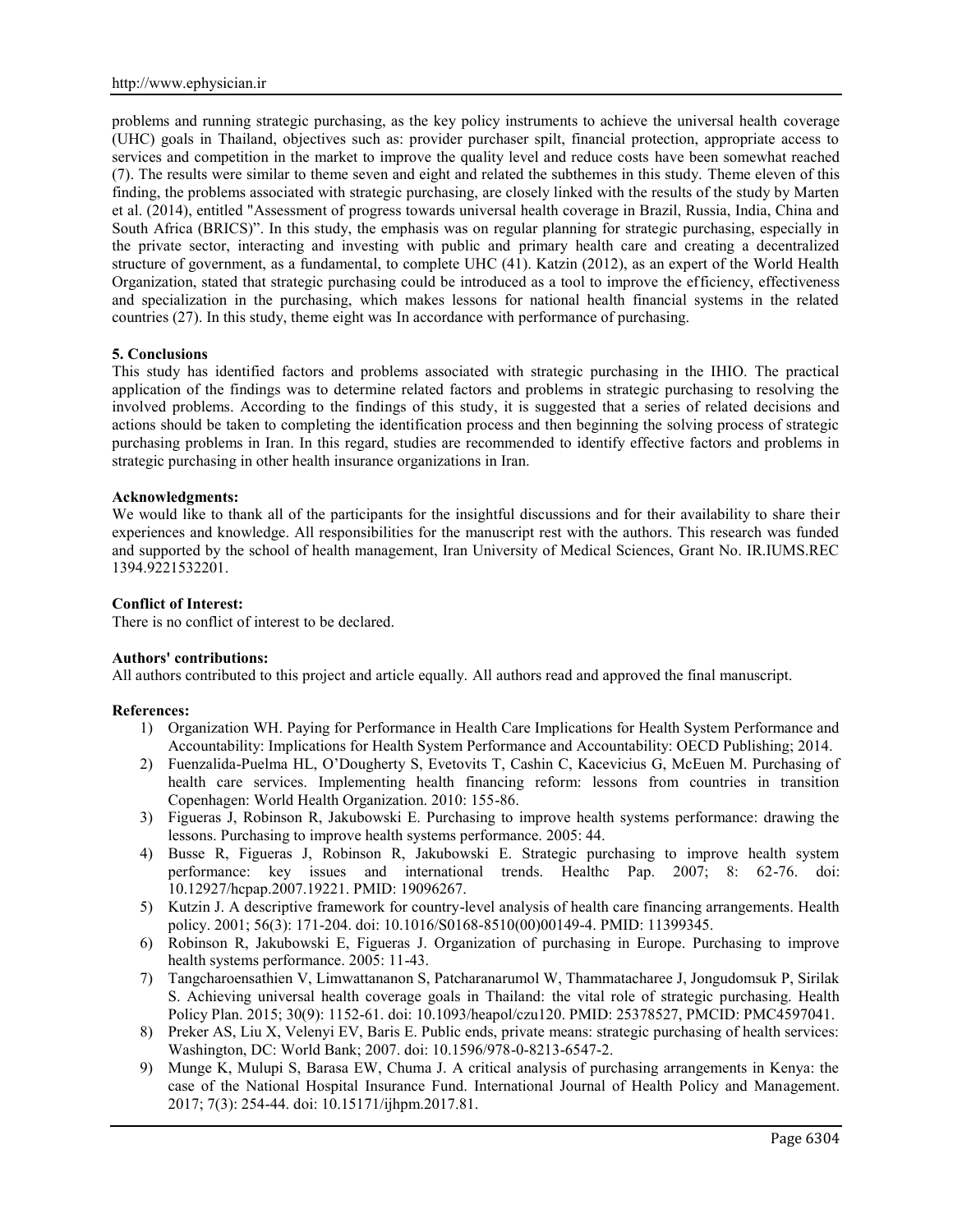problems and running strategic purchasing, as the key policy instruments to achieve the universal health coverage (UHC) goals in Thailand, objectives such as: provider purchaser spilt, financial protection, appropriate access to services and competition in the market to improve the quality level and reduce costs have been somewhat reached (7). The results were similar to theme seven and eight and related the subthemes in this study. Theme eleven of this finding, the problems associated with strategic purchasing, are closely linked with the results of the study by Marten et al. (2014), entitled "Assessment of progress towards universal health coverage in Brazil, Russia, India, China and South Africa (BRICS)". In this study, the emphasis was on regular planning for strategic purchasing, especially in the private sector, interacting and investing with public and primary health care and creating a decentralized structure of government, as a fundamental, to complete UHC (41). Katzin (2012), as an expert of the World Health Organization, stated that strategic purchasing could be introduced as a tool to improve the efficiency, effectiveness and specialization in the purchasing, which makes lessons for national health financial systems in the related countries (27). In this study, theme eight was In accordance with performance of purchasing.

# **5. Conclusions**

This study has identified factors and problems associated with strategic purchasing in the IHIO. The practical application of the findings was to determine related factors and problems in strategic purchasing to resolving the involved problems. According to the findings of this study, it is suggested that a series of related decisions and actions should be taken to completing the identification process and then beginning the solving process of strategic purchasing problems in Iran. In this regard, studies are recommended to identify effective factors and problems in strategic purchasing in other health insurance organizations in Iran.

#### **Acknowledgments:**

We would like to thank all of the participants for the insightful discussions and for their availability to share their experiences and knowledge. All responsibilities for the manuscript rest with the authors. This research was funded and supported by the school of health management, Iran University of Medical Sciences, Grant No. IR.IUMS.REC 1394.9221532201.

#### **Conflict of Interest:**

There is no conflict of interest to be declared.

## **Authors' contributions:**

All authors contributed to this project and article equally. All authors read and approved the final manuscript.

#### **References:**

- 1) Organization WH. Paying for Performance in Health Care Implications for Health System Performance and Accountability: Implications for Health System Performance and Accountability: OECD Publishing; 2014.
- 2) Fuenzalida-Puelma HL, O'Dougherty S, Evetovits T, Cashin C, Kacevicius G, McEuen M. Purchasing of health care services. Implementing health financing reform: lessons from countries in transition Copenhagen: World Health Organization. 2010: 155-86.
- 3) Figueras J, Robinson R, Jakubowski E. Purchasing to improve health systems performance: drawing the lessons. Purchasing to improve health systems performance. 2005: 44.
- 4) Busse R, Figueras J, Robinson R, Jakubowski E. Strategic purchasing to improve health system performance: key issues and international trends. Healthc Pap. 2007; 8: 62-76. doi: 10.12927/hcpap.2007.19221. PMID: 19096267.
- 5) Kutzin J. A descriptive framework for country-level analysis of health care financing arrangements. Health policy. 2001; 56(3): 171-204. doi: 10.1016/S0168-8510(00)00149-4. PMID: 11399345.
- 6) Robinson R, Jakubowski E, Figueras J. Organization of purchasing in Europe. Purchasing to improve health systems performance. 2005: 11-43.
- 7) Tangcharoensathien V, Limwattananon S, Patcharanarumol W, Thammatacharee J, Jongudomsuk P, Sirilak S. Achieving universal health coverage goals in Thailand: the vital role of strategic purchasing. Health Policy Plan. 2015; 30(9): 1152-61. doi: 10.1093/heapol/czu120. PMID: 25378527, PMCID: PMC4597041.
- 8) Preker AS, Liu X, Velenyi EV, Baris E. Public ends, private means: strategic purchasing of health services: Washington, DC: World Bank; 2007. doi: 10.1596/978-0-8213-6547-2.
- 9) Munge K, Mulupi S, Barasa EW, Chuma J. A critical analysis of purchasing arrangements in Kenya: the case of the National Hospital Insurance Fund. International Journal of Health Policy and Management. 2017; 7(3): 254-44. doi: 10.15171/ijhpm.2017.81.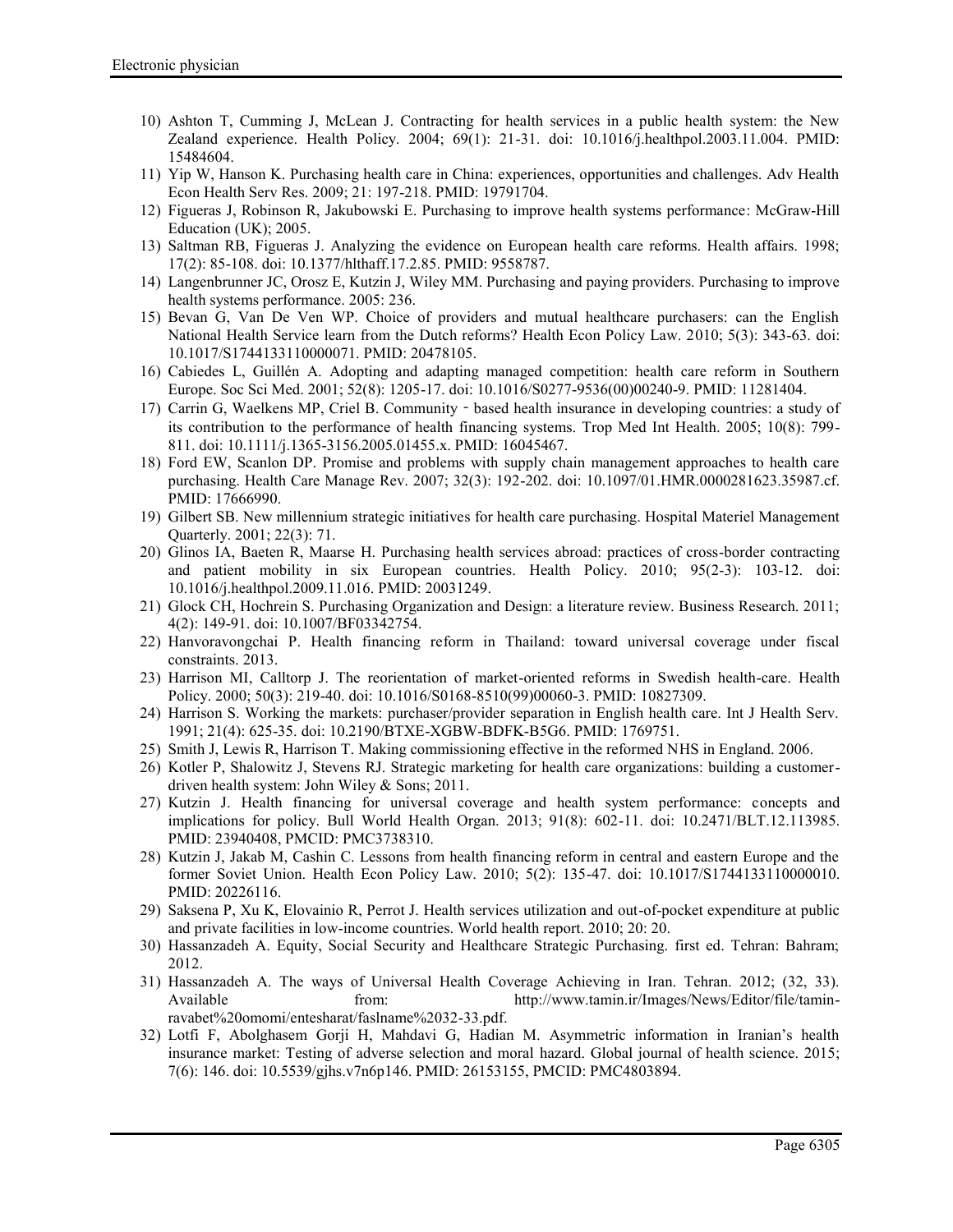- 10) Ashton T, Cumming J, McLean J. Contracting for health services in a public health system: the New Zealand experience. Health Policy. 2004; 69(1): 21-31. doi: 10.1016/j.healthpol.2003.11.004. PMID: 15484604.
- 11) Yip W, Hanson K. Purchasing health care in China: experiences, opportunities and challenges. Adv Health Econ Health Serv Res. 2009; 21: 197-218. PMID: 19791704.
- 12) Figueras J, Robinson R, Jakubowski E. Purchasing to improve health systems performance: McGraw-Hill Education (UK); 2005.
- 13) Saltman RB, Figueras J. Analyzing the evidence on European health care reforms. Health affairs. 1998; 17(2): 85-108. doi: 10.1377/hlthaff.17.2.85. PMID: 9558787.
- 14) Langenbrunner JC, Orosz E, Kutzin J, Wiley MM. Purchasing and paying providers. Purchasing to improve health systems performance. 2005: 236.
- 15) Bevan G, Van De Ven WP. Choice of providers and mutual healthcare purchasers: can the English National Health Service learn from the Dutch reforms? Health Econ Policy Law. 2010; 5(3): 343-63. doi: 10.1017/S1744133110000071. PMID: 20478105.
- 16) Cabiedes L, Guillén A. Adopting and adapting managed competition: health care reform in Southern Europe. Soc Sci Med. 2001; 52(8): 1205-17. doi: 10.1016/S0277-9536(00)00240-9. PMID: 11281404.
- 17) Carrin G, Waelkens MP, Criel B. Community based health insurance in developing countries: a study of its contribution to the performance of health financing systems. Trop Med Int Health. 2005; 10(8): 799- 811. doi: 10.1111/j.1365-3156.2005.01455.x. PMID: 16045467.
- 18) Ford EW, Scanlon DP. Promise and problems with supply chain management approaches to health care purchasing. Health Care Manage Rev. 2007; 32(3): 192-202. doi: 10.1097/01.HMR.0000281623.35987.cf. PMID: 17666990.
- 19) Gilbert SB. New millennium strategic initiatives for health care purchasing. Hospital Materiel Management Quarterly. 2001; 22(3): 71.
- 20) Glinos IA, Baeten R, Maarse H. Purchasing health services abroad: practices of cross-border contracting and patient mobility in six European countries. Health Policy. 2010; 95(2-3): 103-12. doi: 10.1016/j.healthpol.2009.11.016. PMID: 20031249.
- 21) Glock CH, Hochrein S. Purchasing Organization and Design: a literature review. Business Research. 2011; 4(2): 149-91. doi: 10.1007/BF03342754.
- 22) Hanvoravongchai P. Health financing reform in Thailand: toward universal coverage under fiscal constraints. 2013.
- 23) Harrison MI, Calltorp J. The reorientation of market-oriented reforms in Swedish health-care. Health Policy. 2000; 50(3): 219-40. doi: 10.1016/S0168-8510(99)00060-3. PMID: 10827309.
- 24) Harrison S. Working the markets: purchaser/provider separation in English health care. Int J Health Serv. 1991; 21(4): 625-35. doi: 10.2190/BTXE-XGBW-BDFK-B5G6. PMID: 1769751.
- 25) Smith J, Lewis R, Harrison T. Making commissioning effective in the reformed NHS in England. 2006.
- 26) Kotler P, Shalowitz J, Stevens RJ. Strategic marketing for health care organizations: building a customer driven health system: John Wiley & Sons; 2011.
- 27) Kutzin J. Health financing for universal coverage and health system performance: concepts and implications for policy. Bull World Health Organ. 2013; 91(8): 602-11. doi: 10.2471/BLT.12.113985. PMID: 23940408, PMCID: PMC3738310.
- 28) Kutzin J, Jakab M, Cashin C. Lessons from health financing reform in central and eastern Europe and the former Soviet Union. Health Econ Policy Law. 2010; 5(2): 135-47. doi: 10.1017/S1744133110000010. PMID: 20226116.
- 29) Saksena P, Xu K, Elovainio R, Perrot J. Health services utilization and out-of-pocket expenditure at public and private facilities in low-income countries. World health report. 2010; 20: 20.
- 30) Hassanzadeh A. Equity, Social Security and Healthcare Strategic Purchasing. first ed. Tehran: Bahram; 2012.
- 31) Hassanzadeh A. The ways of Universal Health Coverage Achieving in Iran. Tehran. 2012; (32, 33). Available from: http://www.tamin.ir/Images/News/Editor/file/taminravabet%20omomi/entesharat/faslname%2032-33.pdf.
- 32) Lotfi F, Abolghasem Gorji H, Mahdavi G, Hadian M. Asymmetric information in Iranian's health insurance market: Testing of adverse selection and moral hazard. Global journal of health science. 2015; 7(6): 146. doi: 10.5539/gjhs.v7n6p146. PMID: 26153155, PMCID: PMC4803894.